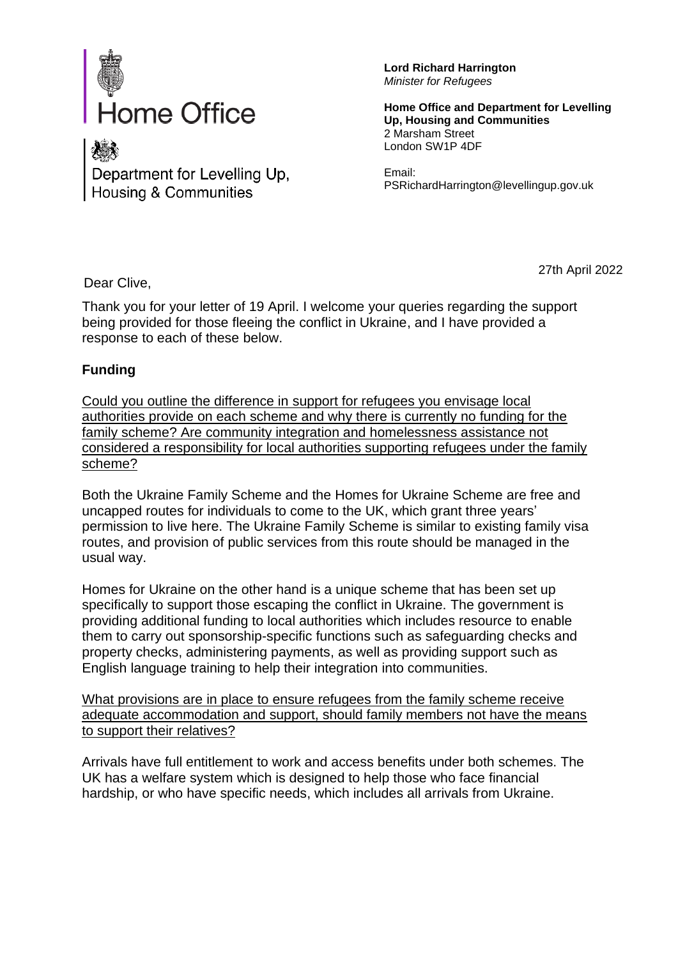

Department for Levelling Up, **Housing & Communities** 

**Lord Richard Harrington** *Minister for Refugees*

**Home Office and Department for Levelling Up, Housing and Communities** 2 Marsham Street London SW1P 4DF

Email: PSRichardHarrington@levellingup.gov.uk

Dear Clive,

27th April 2022

Thank you for your letter of 19 April. I welcome your queries regarding the support being provided for those fleeing the conflict in Ukraine, and I have provided a response to each of these below.

## **Funding**

Could you outline the difference in support for refugees you envisage local authorities provide on each scheme and why there is currently no funding for the family scheme? Are community integration and homelessness assistance not considered a responsibility for local authorities supporting refugees under the family scheme?

Both the Ukraine Family Scheme and the Homes for Ukraine Scheme are free and uncapped routes for individuals to come to the UK, which grant three years' permission to live here. The Ukraine Family Scheme is similar to existing family visa routes, and provision of public services from this route should be managed in the usual way.

Homes for Ukraine on the other hand is a unique scheme that has been set up specifically to support those escaping the conflict in Ukraine. The government is providing additional funding to local authorities which includes resource to enable them to carry out sponsorship-specific functions such as safeguarding checks and property checks, administering payments, as well as providing support such as English language training to help their integration into communities.

What provisions are in place to ensure refugees from the family scheme receive adequate accommodation and support, should family members not have the means to support their relatives?

Arrivals have full entitlement to work and access benefits under both schemes. The UK has a welfare system which is designed to help those who face financial hardship, or who have specific needs, which includes all arrivals from Ukraine.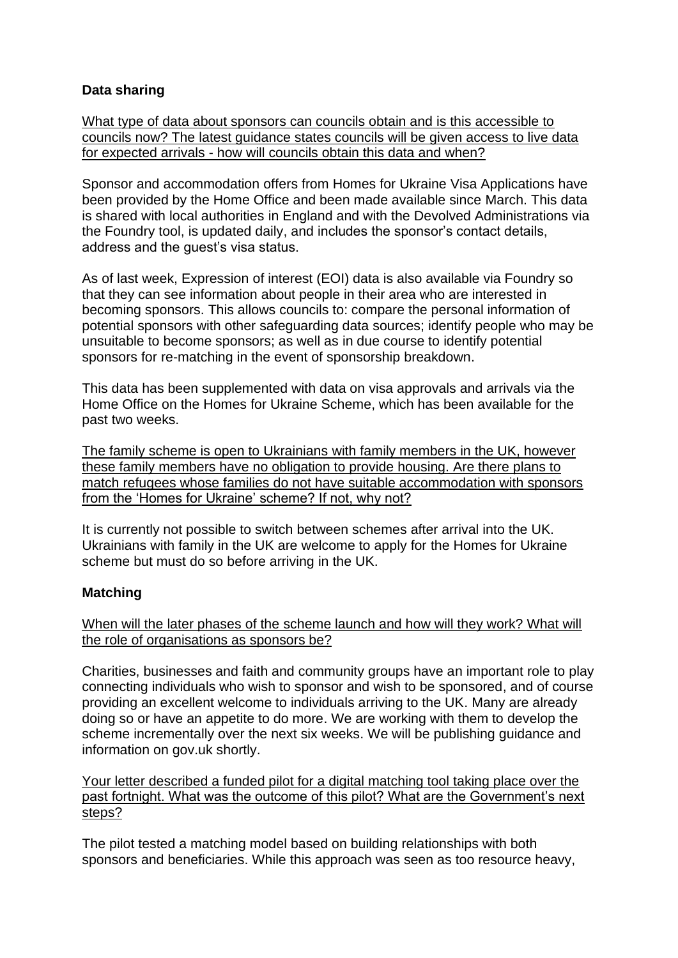## **Data sharing**

What type of data about sponsors can councils obtain and is this accessible to councils now? The latest guidance states councils will be given access to live data for expected arrivals - how will councils obtain this data and when?

Sponsor and accommodation offers from Homes for Ukraine Visa Applications have been provided by the Home Office and been made available since March. This data is shared with local authorities in England and with the Devolved Administrations via the Foundry tool, is updated daily, and includes the sponsor's contact details, address and the guest's visa status.

As of last week, Expression of interest (EOI) data is also available via Foundry so that they can see information about people in their area who are interested in becoming sponsors. This allows councils to: compare the personal information of potential sponsors with other safeguarding data sources; identify people who may be unsuitable to become sponsors; as well as in due course to identify potential sponsors for re-matching in the event of sponsorship breakdown.

This data has been supplemented with data on visa approvals and arrivals via the Home Office on the Homes for Ukraine Scheme, which has been available for the past two weeks.

The family scheme is open to Ukrainians with family members in the UK, however these family members have no obligation to provide housing. Are there plans to match refugees whose families do not have suitable accommodation with sponsors from the 'Homes for Ukraine' scheme? If not, why not?

It is currently not possible to switch between schemes after arrival into the UK. Ukrainians with family in the UK are welcome to apply for the Homes for Ukraine scheme but must do so before arriving in the UK.

## **Matching**

When will the later phases of the scheme launch and how will they work? What will the role of organisations as sponsors be?

Charities, businesses and faith and community groups have an important role to play connecting individuals who wish to sponsor and wish to be sponsored, and of course providing an excellent welcome to individuals arriving to the UK. Many are already doing so or have an appetite to do more. We are working with them to develop the scheme incrementally over the next six weeks. We will be publishing guidance and information on gov.uk shortly.

Your letter described a funded pilot for a digital matching tool taking place over the past fortnight. What was the outcome of this pilot? What are the Government's next steps?

The pilot tested a matching model based on building relationships with both sponsors and beneficiaries. While this approach was seen as too resource heavy,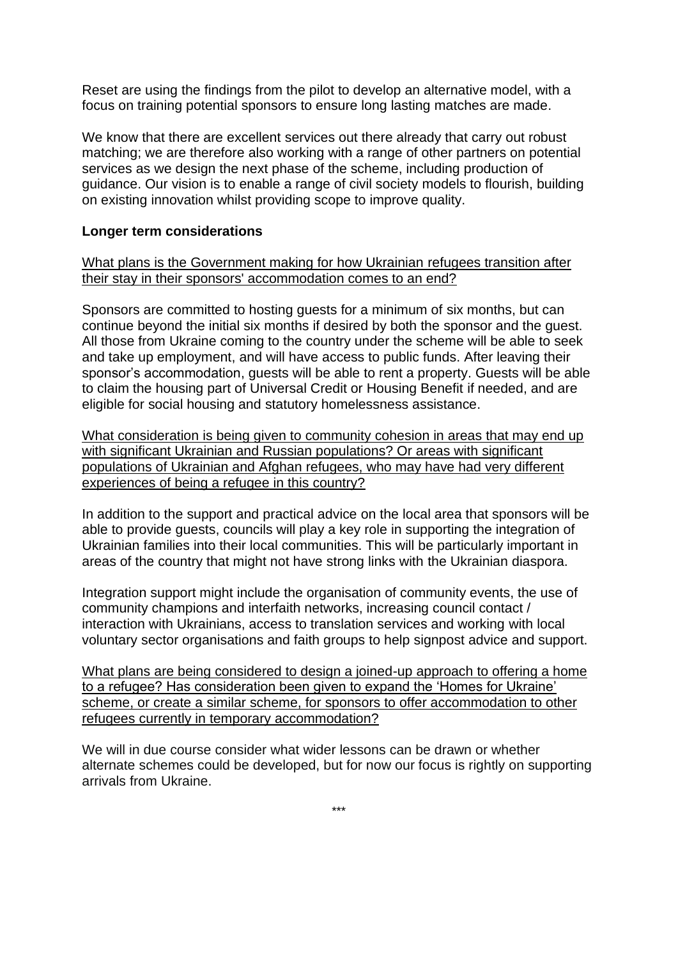Reset are using the findings from the pilot to develop an alternative model, with a focus on training potential sponsors to ensure long lasting matches are made.

We know that there are excellent services out there already that carry out robust matching; we are therefore also working with a range of other partners on potential services as we design the next phase of the scheme, including production of guidance. Our vision is to enable a range of civil society models to flourish, building on existing innovation whilst providing scope to improve quality.

## **Longer term considerations**

What plans is the Government making for how Ukrainian refugees transition after their stay in their sponsors' accommodation comes to an end?

Sponsors are committed to hosting guests for a minimum of six months, but can continue beyond the initial six months if desired by both the sponsor and the guest. All those from Ukraine coming to the country under the scheme will be able to seek and take up employment, and will have access to public funds. After leaving their sponsor's accommodation, guests will be able to rent a property. Guests will be able to claim the housing part of Universal Credit or Housing Benefit if needed, and are eligible for social housing and statutory homelessness assistance.

What consideration is being given to community cohesion in areas that may end up with significant Ukrainian and Russian populations? Or areas with significant populations of Ukrainian and Afghan refugees, who may have had very different experiences of being a refugee in this country?

In addition to the support and practical advice on the local area that sponsors will be able to provide guests, councils will play a key role in supporting the integration of Ukrainian families into their local communities. This will be particularly important in areas of the country that might not have strong links with the Ukrainian diaspora.

Integration support might include the organisation of community events, the use of community champions and interfaith networks, increasing council contact / interaction with Ukrainians, access to translation services and working with local voluntary sector organisations and faith groups to help signpost advice and support.

What plans are being considered to design a joined-up approach to offering a home to a refugee? Has consideration been given to expand the 'Homes for Ukraine' scheme, or create a similar scheme, for sponsors to offer accommodation to other refugees currently in temporary accommodation?

We will in due course consider what wider lessons can be drawn or whether alternate schemes could be developed, but for now our focus is rightly on supporting arrivals from Ukraine.